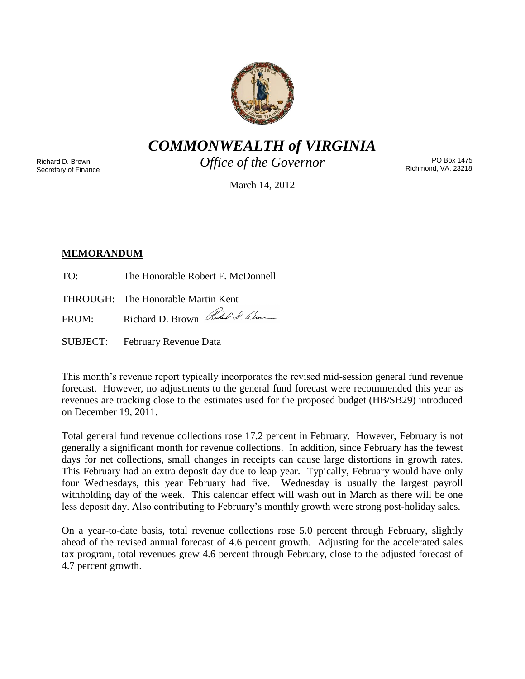

*COMMONWEALTH of VIRGINIA*

Richard D. Brown Secretary of Finance *Office of the Governor*

PO Box 1475 Richmond, VA. 23218

March 14, 2012

# **MEMORANDUM**

TO: The Honorable Robert F. McDonnell

THROUGH: The Honorable Martin Kent

FROM: Richard D. Brown Rules & Com

SUBJECT: February Revenue Data

This month's revenue report typically incorporates the revised mid-session general fund revenue forecast. However, no adjustments to the general fund forecast were recommended this year as revenues are tracking close to the estimates used for the proposed budget (HB/SB29) introduced on December 19, 2011.

Total general fund revenue collections rose 17.2 percent in February. However, February is not generally a significant month for revenue collections. In addition, since February has the fewest days for net collections, small changes in receipts can cause large distortions in growth rates. This February had an extra deposit day due to leap year. Typically, February would have only four Wednesdays, this year February had five. Wednesday is usually the largest payroll withholding day of the week. This calendar effect will wash out in March as there will be one less deposit day. Also contributing to February's monthly growth were strong post-holiday sales.

On a year-to-date basis, total revenue collections rose 5.0 percent through February, slightly ahead of the revised annual forecast of 4.6 percent growth. Adjusting for the accelerated sales tax program, total revenues grew 4.6 percent through February, close to the adjusted forecast of 4.7 percent growth.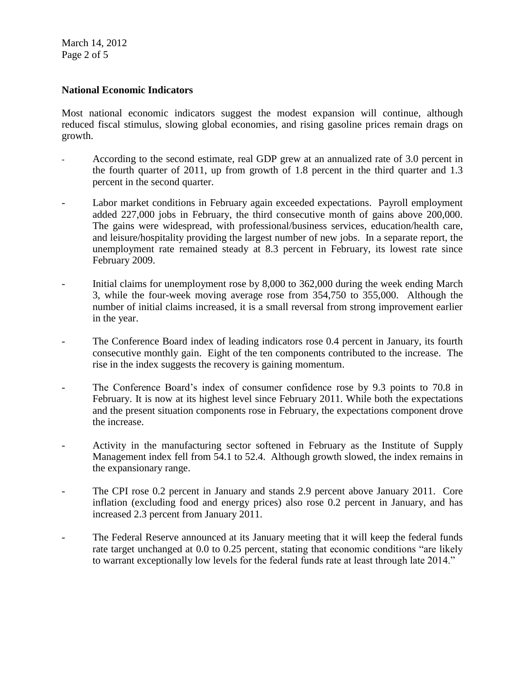March 14, 2012 Page 2 of 5

#### **National Economic Indicators**

Most national economic indicators suggest the modest expansion will continue, although reduced fiscal stimulus, slowing global economies, and rising gasoline prices remain drags on growth.

- According to the second estimate, real GDP grew at an annualized rate of 3.0 percent in the fourth quarter of 2011, up from growth of 1.8 percent in the third quarter and 1.3 percent in the second quarter.
- Labor market conditions in February again exceeded expectations. Payroll employment added 227,000 jobs in February, the third consecutive month of gains above 200,000. The gains were widespread, with professional/business services, education/health care, and leisure/hospitality providing the largest number of new jobs. In a separate report, the unemployment rate remained steady at 8.3 percent in February, its lowest rate since February 2009.
- Initial claims for unemployment rose by 8,000 to 362,000 during the week ending March 3, while the four-week moving average rose from 354,750 to 355,000. Although the number of initial claims increased, it is a small reversal from strong improvement earlier in the year.
- The Conference Board index of leading indicators rose 0.4 percent in January, its fourth consecutive monthly gain. Eight of the ten components contributed to the increase. The rise in the index suggests the recovery is gaining momentum.
- The Conference Board's index of consumer confidence rose by 9.3 points to 70.8 in February. It is now at its highest level since February 2011. While both the expectations and the present situation components rose in February, the expectations component drove the increase.
- Activity in the manufacturing sector softened in February as the Institute of Supply Management index fell from 54.1 to 52.4. Although growth slowed, the index remains in the expansionary range.
- The CPI rose 0.2 percent in January and stands 2.9 percent above January 2011. Core inflation (excluding food and energy prices) also rose 0.2 percent in January, and has increased 2.3 percent from January 2011.
- The Federal Reserve announced at its January meeting that it will keep the federal funds rate target unchanged at 0.0 to 0.25 percent, stating that economic conditions "are likely to warrant exceptionally low levels for the federal funds rate at least through late 2014."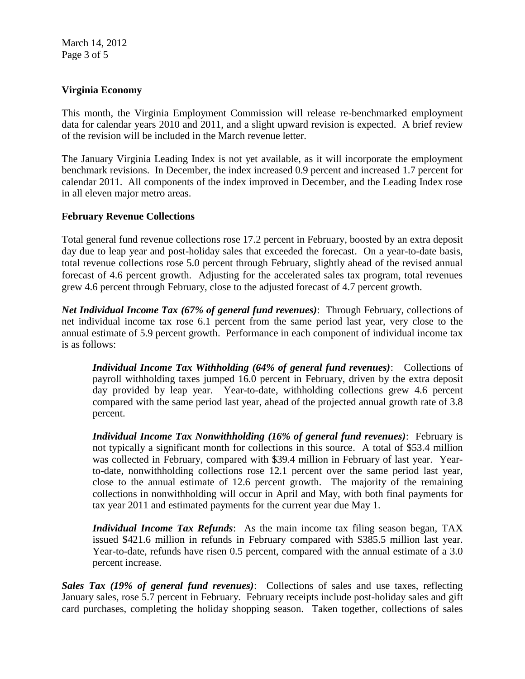March 14, 2012 Page 3 of 5

## **Virginia Economy**

This month, the Virginia Employment Commission will release re-benchmarked employment data for calendar years 2010 and 2011, and a slight upward revision is expected. A brief review of the revision will be included in the March revenue letter.

The January Virginia Leading Index is not yet available, as it will incorporate the employment benchmark revisions. In December, the index increased 0.9 percent and increased 1.7 percent for calendar 2011. All components of the index improved in December, and the Leading Index rose in all eleven major metro areas.

## **February Revenue Collections**

Total general fund revenue collections rose 17.2 percent in February, boosted by an extra deposit day due to leap year and post-holiday sales that exceeded the forecast. On a year-to-date basis, total revenue collections rose 5.0 percent through February, slightly ahead of the revised annual forecast of 4.6 percent growth. Adjusting for the accelerated sales tax program, total revenues grew 4.6 percent through February, close to the adjusted forecast of 4.7 percent growth.

*Net Individual Income Tax (67% of general fund revenues)*: Through February, collections of net individual income tax rose 6.1 percent from the same period last year, very close to the annual estimate of 5.9 percent growth. Performance in each component of individual income tax is as follows:

*Individual Income Tax Withholding (64% of general fund revenues)*: Collections of payroll withholding taxes jumped 16.0 percent in February, driven by the extra deposit day provided by leap year. Year-to-date, withholding collections grew 4.6 percent compared with the same period last year, ahead of the projected annual growth rate of 3.8 percent.

*Individual Income Tax Nonwithholding (16% of general fund revenues)*: February is not typically a significant month for collections in this source. A total of \$53.4 million was collected in February, compared with \$39.4 million in February of last year. Yearto-date, nonwithholding collections rose 12.1 percent over the same period last year, close to the annual estimate of 12.6 percent growth. The majority of the remaining collections in nonwithholding will occur in April and May, with both final payments for tax year 2011 and estimated payments for the current year due May 1.

*Individual Income Tax Refunds*: As the main income tax filing season began, TAX issued \$421.6 million in refunds in February compared with \$385.5 million last year. Year-to-date, refunds have risen 0.5 percent, compared with the annual estimate of a 3.0 percent increase.

*Sales Tax (19% of general fund revenues)*: Collections of sales and use taxes, reflecting January sales, rose 5.7 percent in February. February receipts include post-holiday sales and gift card purchases, completing the holiday shopping season. Taken together, collections of sales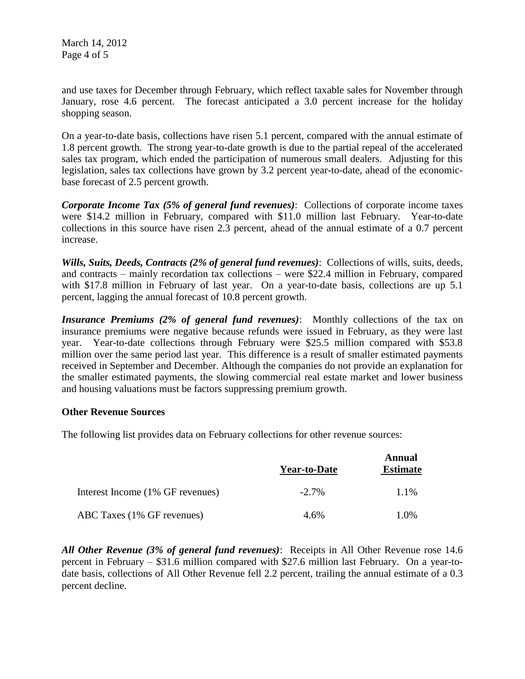March 14, 2012 Page 4 of 5

and use taxes for December through February, which reflect taxable sales for November through January, rose 4.6 percent. The forecast anticipated a 3.0 percent increase for the holiday shopping season.

On a year-to-date basis, collections have risen 5.1 percent, compared with the annual estimate of 1.8 percent growth. The strong year-to-date growth is due to the partial repeal of the accelerated sales tax program, which ended the participation of numerous small dealers. Adjusting for this legislation, sales tax collections have grown by 3.2 percent year-to-date, ahead of the economicbase forecast of 2.5 percent growth.

*Corporate Income Tax (5% of general fund revenues)*: Collections of corporate income taxes were \$14.2 million in February, compared with \$11.0 million last February. Year-to-date collections in this source have risen 2.3 percent, ahead of the annual estimate of a 0.7 percent increase.

*Wills, Suits, Deeds, Contracts (2% of general fund revenues)*: Collections of wills, suits, deeds, and contracts – mainly recordation tax collections – were \$22.4 million in February, compared with \$17.8 million in February of last year. On a year-to-date basis, collections are up 5.1 percent, lagging the annual forecast of 10.8 percent growth.

*Insurance Premiums (2% of general fund revenues)*: Monthly collections of the tax on insurance premiums were negative because refunds were issued in February, as they were last year. Year-to-date collections through February were \$25.5 million compared with \$53.8 million over the same period last year. This difference is a result of smaller estimated payments received in September and December. Although the companies do not provide an explanation for the smaller estimated payments, the slowing commercial real estate market and lower business and housing valuations must be factors suppressing premium growth.

#### **Other Revenue Sources**

The following list provides data on February collections for other revenue sources:

|                                  | <b>Year-to-Date</b> | Annual<br><b>Estimate</b> |
|----------------------------------|---------------------|---------------------------|
| Interest Income (1% GF revenues) | $-2.7\%$            | 1.1%                      |
| ABC Taxes (1% GF revenues)       | 4.6%                | 1.0%                      |

*All Other Revenue (3% of general fund revenues)*: Receipts in All Other Revenue rose 14.6 percent in February – \$31.6 million compared with \$27.6 million last February. On a year-todate basis, collections of All Other Revenue fell 2.2 percent, trailing the annual estimate of a 0.3 percent decline.